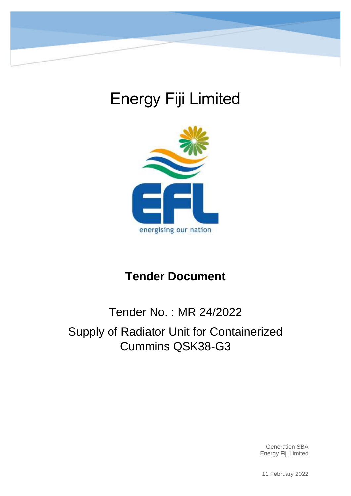

# Energy Fiji Limited



## **Tender Document**

## Tender No. : MR 24/2022 Supply of Radiator Unit for Containerized Cummins QSK38-G3

Generation SBA Energy Fiji Limited

11 February 2022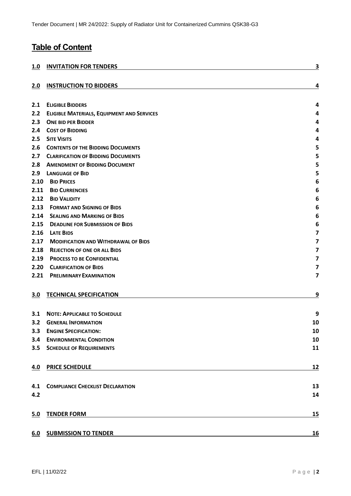## **Table of Content**

| 1.0  | <b>INVITATION FOR TENDERS</b>                     | $\overline{\mathbf{3}}$ |
|------|---------------------------------------------------|-------------------------|
| 2.0  | <b>INSTRUCTION TO BIDDERS</b>                     | 4                       |
| 2.1  | <b>ELIGIBLE BIDDERS</b>                           | 4                       |
| 2.2  | <b>ELIGIBLE MATERIALS, EQUIPMENT AND SERVICES</b> | 4                       |
| 2.3  | <b>ONE BID PER BIDDER</b>                         | 4                       |
| 2.4  | <b>COST OF BIDDING</b>                            | 4                       |
| 2.5  | <b>SITE VISITS</b>                                | 4                       |
| 2.6  | <b>CONTENTS OF THE BIDDING DOCUMENTS</b>          | 5                       |
| 2.7  | <b>CLARIFICATION OF BIDDING DOCUMENTS</b>         | 5                       |
| 2.8  | <b>AMENDMENT OF BIDDING DOCUMENT</b>              | 5                       |
| 2.9  | <b>LANGUAGE OF BID</b>                            | 5                       |
| 2.10 | <b>BID PRICES</b>                                 | 6                       |
| 2.11 | <b>BID CURRENCIES</b>                             | 6                       |
| 2.12 | <b>BID VALIDITY</b>                               | 6                       |
| 2.13 | <b>FORMAT AND SIGNING OF BIDS</b>                 | 6                       |
| 2.14 | <b>SEALING AND MARKING OF BIDS</b>                | 6                       |
| 2.15 | <b>DEADLINE FOR SUBMISSION OF BIDS</b>            | 6                       |
| 2.16 | <b>LATE BIDS</b>                                  | $\overline{\mathbf{z}}$ |
| 2.17 | <b>MODIFICATION AND WITHDRAWAL OF BIDS</b>        | $\overline{\mathbf{z}}$ |
| 2.18 | <b>REJECTION OF ONE OR ALL BIDS</b>               | $\overline{\mathbf{z}}$ |
| 2.19 | <b>PROCESS TO BE CONFIDENTIAL</b>                 | $\overline{\mathbf{z}}$ |
| 2.20 | <b>CLARIFICATION OF BIDS</b>                      | $\overline{\mathbf{z}}$ |
| 2.21 | <b>PRELIMINARY EXAMINATION</b>                    | $\overline{\mathbf{z}}$ |
| 3.0  | <b>TECHNICAL SPECIFICATION</b>                    | 9                       |
| 3.1  | <b>NOTE: APPLICABLE TO SCHEDULE</b>               | 9                       |
| 3.2  | <b>GENERAL INFORMATION</b>                        | 10                      |
| 3.3  | <b>ENGINE SPECIFICATION:</b>                      | 10                      |
| 3.4  | <b>ENVIRONMENTAL CONDITION</b>                    | 10                      |
| 3.5  | <b>SCHEDULE OF REQUIREMENTS</b>                   | 11                      |
| 4.0  | <b>PRICE SCHEDULE</b>                             | <u>12</u>               |
| 4.1  | <b>COMPLIANCE CHECKLIST DECLARATION</b>           | 13                      |
| 4.2  |                                                   | 14                      |
| 5.0  | <b>TENDER FORM</b>                                | 15                      |
| 6.0  | <b>SUBMISSION TO TENDER</b>                       | <b>16</b>               |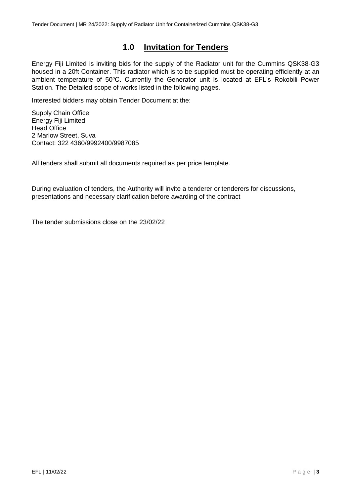## <span id="page-2-0"></span>**1.0 Invitation for Tenders**

Energy Fiji Limited is inviting bids for the supply of the Radiator unit for the Cummins QSK38-G3 housed in a 20ft Container. This radiator which is to be supplied must be operating efficiently at an ambient temperature of 50°C. Currently the Generator unit is located at EFL's Rokobili Power Station. The Detailed scope of works listed in the following pages.

Interested bidders may obtain Tender Document at the:

Supply Chain Office Energy Fiji Limited Head Office 2 Marlow Street, Suva Contact: 322 4360/9992400/9987085

All tenders shall submit all documents required as per price template.

During evaluation of tenders, the Authority will invite a tenderer or tenderers for discussions, presentations and necessary clarification before awarding of the contract

The tender submissions close on the 23/02/22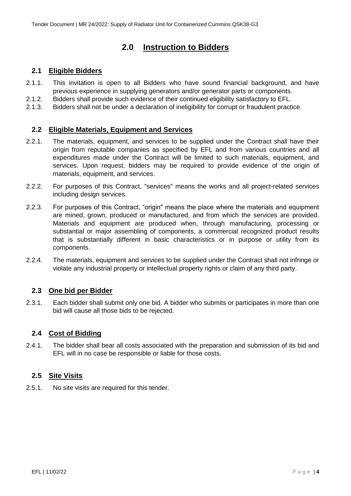## **2.0 Instruction to Bidders**

#### <span id="page-3-1"></span><span id="page-3-0"></span>**2.1 Eligible Bidders**

- 2.1.1. This invitation is open to all Bidders who have sound financial background, and have previous experience in supplying generators and/or generator parts or components.
- 2.1.2. Bidders shall provide such evidence of their continued eligibility satisfactory to EFL.
- 2.1.3. Bidders shall not be under a declaration of ineligibility for corrupt or fraudulent practice.

#### <span id="page-3-2"></span>**2.2 Eligible Materials, Equipment and Services**

- 2.2.1. The materials, equipment, and services to be supplied under the Contract shall have their origin from reputable companies as specified by EFL and from various countries and all expenditures made under the Contract will be limited to such materials, equipment, and services. Upon request, bidders may be required to provide evidence of the origin of materials, equipment, and services.
- 2.2.2. For purposes of this Contract, "services" means the works and all project-related services including design services.
- 2.2.3. For purposes of this Contract, "origin" means the place where the materials and equipment are mined, grown, produced or manufactured, and from which the services are provided. Materials and equipment are produced when, through manufacturing, processing or substantial or major assembling of components, a commercial recognized product results that is substantially different in basic characteristics or in purpose or utility from its components.
- 2.2.4. The materials, equipment and services to be supplied under the Contract shall not infringe or violate any industrial property or intellectual property rights or claim of any third party.

#### <span id="page-3-3"></span>**2.3 One bid per Bidder**

2.3.1. Each bidder shall submit only one bid. A bidder who submits or participates in more than one bid will cause all those bids to be rejected.

#### <span id="page-3-4"></span>**2.4 Cost of Bidding**

2.4.1. The bidder shall bear all costs associated with the preparation and submission of its bid and EFL will in no case be responsible or liable for those costs.

#### <span id="page-3-5"></span>**2.5 Site Visits**

2.5.1. No site visits are required for this tender.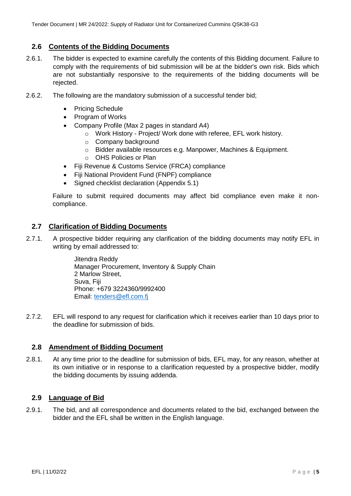#### <span id="page-4-0"></span>**2.6 Contents of the Bidding Documents**

- 2.6.1. The bidder is expected to examine carefully the contents of this Bidding document. Failure to comply with the requirements of bid submission will be at the bidder's own risk. Bids which are not substantially responsive to the requirements of the bidding documents will be rejected.
- 2.6.2. The following are the mandatory submission of a successful tender bid;
	- Pricing Schedule
	- Program of Works
	- Company Profile (Max 2 pages in standard A4)
		- o Work History Project/ Work done with referee, EFL work history.
		- o Company background
		- o Bidder available resources e.g. Manpower, Machines & Equipment.
		- o OHS Policies or Plan
	- Fiji Revenue & Customs Service (FRCA) compliance
	- Fiji National Provident Fund (FNPF) compliance
	- Signed checklist declaration (Appendix 5.1)

Failure to submit required documents may affect bid compliance even make it noncompliance.

#### <span id="page-4-1"></span>**2.7 Clarification of Bidding Documents**

2.7.1. A prospective bidder requiring any clarification of the bidding documents may notify EFL in writing by email addressed to:

> Jitendra Reddy Manager Procurement, Inventory & Supply Chain 2 Marlow Street, Suva, Fiji Phone: +679 3224360/9992400 Email: [tenders@efl.com.fj](mailto:tenders@efl.com.fj)

2.7.2. EFL will respond to any request for clarification which it receives earlier than 10 days prior to the deadline for submission of bids.

#### <span id="page-4-2"></span>**2.8 Amendment of Bidding Document**

2.8.1. At any time prior to the deadline for submission of bids, EFL may, for any reason, whether at its own initiative or in response to a clarification requested by a prospective bidder, modify the bidding documents by issuing addenda.

#### <span id="page-4-3"></span>**2.9 Language of Bid**

2.9.1. The bid, and all correspondence and documents related to the bid, exchanged between the bidder and the EFL shall be written in the English language.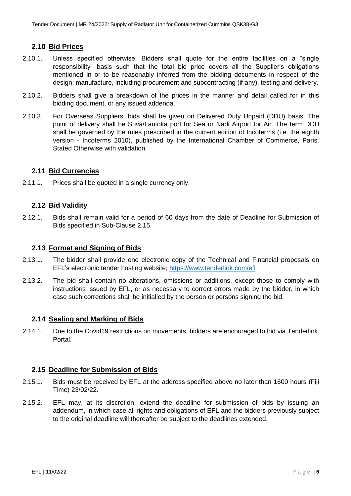#### <span id="page-5-0"></span>**2.10 Bid Prices**

- 2.10.1. Unless specified otherwise, Bidders shall quote for the entire facilities on a "single responsibility" basis such that the total bid price covers all the Supplier's obligations mentioned in or to be reasonably inferred from the bidding documents in respect of the design, manufacture, including procurement and subcontracting (if any), testing and delivery.
- 2.10.2. Bidders shall give a breakdown of the prices in the manner and detail called for in this bidding document, or any issued addenda.
- 2.10.3. For Overseas Suppliers, bids shall be given on Delivered Duty Unpaid (DDU) basis. The point of delivery shall be Suva/Lautoka port for Sea or Nadi Airport for Air. The term DDU shall be governed by the rules prescribed in the current edition of Incoterms (i.e. the eighth version - Incoterms 2010), published by the International Chamber of Commerce, Paris. Stated Otherwise with validation.

#### <span id="page-5-1"></span>**2.11 Bid Currencies**

2.11.1. Prices shall be quoted in a single currency only.

#### <span id="page-5-2"></span>**2.12 Bid Validity**

2.12.1. Bids shall remain valid for a period of 60 days from the date of Deadline for Submission of Bids specified in Sub-Clause 2.15.

#### <span id="page-5-3"></span>**2.13 Format and Signing of Bids**

- 2.13.1. The bidder shall provide one electronic copy of the Technical and Financial proposals on EFL's electronic tender hosting website; <https://www.tenderlink.com/efl>
- 2.13.2. The bid shall contain no alterations, omissions or additions, except those to comply with instructions issued by EFL, or as necessary to correct errors made by the bidder, in which case such corrections shall be initialled by the person or persons signing the bid.

#### <span id="page-5-4"></span>**2.14 Sealing and Marking of Bids**

2.14.1. Due to the Covid19 restrictions on movements, bidders are encouraged to bid via Tenderlink Portal.

#### <span id="page-5-5"></span>**2.15 Deadline for Submission of Bids**

- 2.15.1. Bids must be received by EFL at the address specified above no later than 1600 hours (Fiji Time) 23/02/22.
- 2.15.2. EFL may, at its discretion, extend the deadline for submission of bids by issuing an addendum, in which case all rights and obligations of EFL and the bidders previously subject to the original deadline will thereafter be subject to the deadlines extended.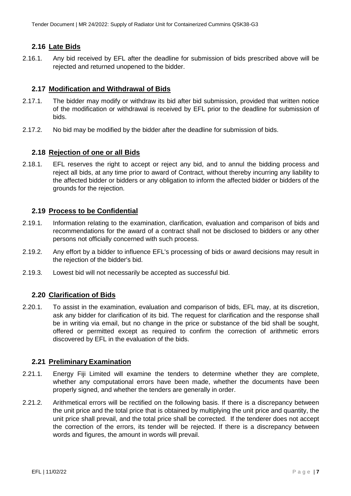#### <span id="page-6-0"></span>**2.16 Late Bids**

2.16.1. Any bid received by EFL after the deadline for submission of bids prescribed above will be rejected and returned unopened to the bidder.

#### <span id="page-6-1"></span>**2.17 Modification and Withdrawal of Bids**

- 2.17.1. The bidder may modify or withdraw its bid after bid submission, provided that written notice of the modification or withdrawal is received by EFL prior to the deadline for submission of bids.
- 2.17.2. No bid may be modified by the bidder after the deadline for submission of bids.

#### <span id="page-6-2"></span>**2.18 Rejection of one or all Bids**

2.18.1. EFL reserves the right to accept or reject any bid, and to annul the bidding process and reject all bids, at any time prior to award of Contract, without thereby incurring any liability to the affected bidder or bidders or any obligation to inform the affected bidder or bidders of the grounds for the rejection.

#### <span id="page-6-3"></span>**2.19 Process to be Confidential**

- 2.19.1. Information relating to the examination, clarification, evaluation and comparison of bids and recommendations for the award of a contract shall not be disclosed to bidders or any other persons not officially concerned with such process.
- 2.19.2. Any effort by a bidder to influence EFL's processing of bids or award decisions may result in the rejection of the bidder's bid.
- 2.19.3. Lowest bid will not necessarily be accepted as successful bid.

#### <span id="page-6-4"></span>**2.20 Clarification of Bids**

2.20.1. To assist in the examination, evaluation and comparison of bids, EFL may, at its discretion, ask any bidder for clarification of its bid. The request for clarification and the response shall be in writing via email, but no change in the price or substance of the bid shall be sought, offered or permitted except as required to confirm the correction of arithmetic errors discovered by EFL in the evaluation of the bids.

#### <span id="page-6-5"></span>**2.21 Preliminary Examination**

- 2.21.1. Energy Fiji Limited will examine the tenders to determine whether they are complete, whether any computational errors have been made, whether the documents have been properly signed, and whether the tenders are generally in order.
- 2.21.2. Arithmetical errors will be rectified on the following basis. If there is a discrepancy between the unit price and the total price that is obtained by multiplying the unit price and quantity, the unit price shall prevail, and the total price shall be corrected. If the tenderer does not accept the correction of the errors, its tender will be rejected. If there is a discrepancy between words and figures, the amount in words will prevail.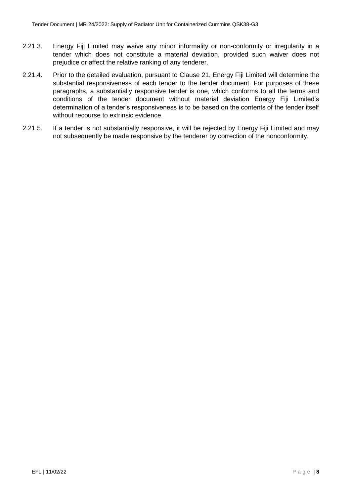- 2.21.3. Energy Fiji Limited may waive any minor informality or non-conformity or irregularity in a tender which does not constitute a material deviation, provided such waiver does not prejudice or affect the relative ranking of any tenderer.
- 2.21.4. Prior to the detailed evaluation, pursuant to Clause 21, Energy Fiji Limited will determine the substantial responsiveness of each tender to the tender document. For purposes of these paragraphs, a substantially responsive tender is one, which conforms to all the terms and conditions of the tender document without material deviation Energy Fiji Limited's determination of a tender's responsiveness is to be based on the contents of the tender itself without recourse to extrinsic evidence.
- 2.21.5. If a tender is not substantially responsive, it will be rejected by Energy Fiji Limited and may not subsequently be made responsive by the tenderer by correction of the nonconformity.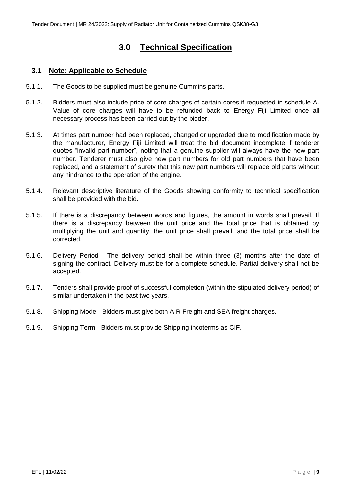## **3.0 Technical Specification**

#### <span id="page-8-1"></span><span id="page-8-0"></span>**3.1 Note: Applicable to Schedule**

- 5.1.1. The Goods to be supplied must be genuine Cummins parts.
- 5.1.2. Bidders must also include price of core charges of certain cores if requested in schedule A. Value of core charges will have to be refunded back to Energy Fiji Limited once all necessary process has been carried out by the bidder.
- 5.1.3. At times part number had been replaced, changed or upgraded due to modification made by the manufacturer, Energy Fiji Limited will treat the bid document incomplete if tenderer quotes "invalid part number", noting that a genuine supplier will always have the new part number. Tenderer must also give new part numbers for old part numbers that have been replaced, and a statement of surety that this new part numbers will replace old parts without any hindrance to the operation of the engine.
- 5.1.4. Relevant descriptive literature of the Goods showing conformity to technical specification shall be provided with the bid.
- 5.1.5. If there is a discrepancy between words and figures, the amount in words shall prevail. If there is a discrepancy between the unit price and the total price that is obtained by multiplying the unit and quantity, the unit price shall prevail, and the total price shall be corrected.
- 5.1.6. Delivery Period The delivery period shall be within three (3) months after the date of signing the contract. Delivery must be for a complete schedule. Partial delivery shall not be accepted.
- 5.1.7. Tenders shall provide proof of successful completion (within the stipulated delivery period) of similar undertaken in the past two years.
- 5.1.8. Shipping Mode Bidders must give both AIR Freight and SEA freight charges.
- 5.1.9. Shipping Term Bidders must provide Shipping incoterms as CIF.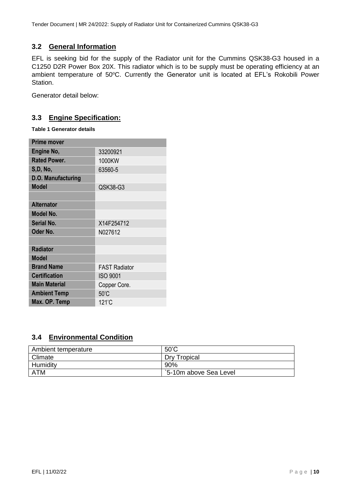#### <span id="page-9-0"></span>**3.2 General Information**

EFL is seeking bid for the supply of the Radiator unit for the Cummins QSK38-G3 housed in a C1250 D2R Power Box 20X. This radiator which is to be supply must be operating efficiency at an ambient temperature of 50°C. Currently the Generator unit is located at EFL's Rokobili Power Station.

Generator detail below:

#### <span id="page-9-1"></span>**3.3 Engine Specification:**

**Table 1 Generator details**

| <b>Prime mover</b>   |                      |
|----------------------|----------------------|
| Engine No,           | 33200921             |
| <b>Rated Power.</b>  | 1000KW               |
| S,D, No,             | 63560-5              |
| D.O. Manufacturing   |                      |
| <b>Model</b>         | QSK38-G3             |
|                      |                      |
| <b>Alternator</b>    |                      |
| Model No.            |                      |
| <b>Serial No.</b>    | X14F254712           |
| Oder No.             | N027612              |
|                      |                      |
| <b>Radiator</b>      |                      |
| <b>Model</b>         |                      |
| <b>Brand Name</b>    | <b>FAST Radiator</b> |
| <b>Certification</b> | <b>ISO 9001</b>      |
| <b>Main Material</b> | Copper Core.         |
| <b>Ambient Temp</b>  | 50°C                 |
| Max. OP. Temp        | 121'C                |

#### <span id="page-9-2"></span>**3.4 Environmental Condition**

| Ambient temperature | $50^{\circ}$ C         |
|---------------------|------------------------|
| Climate             | <b>Dry Tropical</b>    |
| Humidity            | 90%                    |
| ATM                 | `5-10m above Sea Level |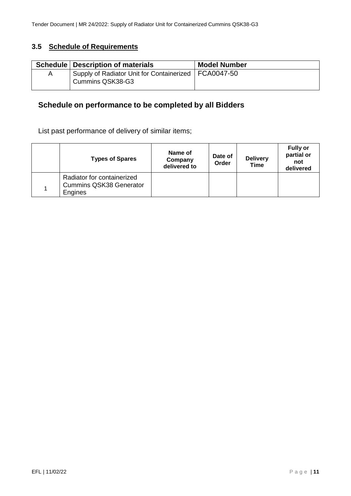## <span id="page-10-0"></span>**3.5 Schedule of Requirements**

| Schedule   Description of materials                                        | <b>Model Number</b> |
|----------------------------------------------------------------------------|---------------------|
| Supply of Radiator Unit for Containerized   FCA0047-50<br>Cummins QSK38-G3 |                     |

## **Schedule on performance to be completed by all Bidders**

List past performance of delivery of similar items;

| <b>Types of Spares</b>                                                  | Name of<br>Company<br>delivered to | Date of<br>Order | <b>Delivery</b><br>Time | <b>Fully or</b><br>partial or<br>not<br>delivered |
|-------------------------------------------------------------------------|------------------------------------|------------------|-------------------------|---------------------------------------------------|
| Radiator for containerized<br><b>Cummins QSK38 Generator</b><br>Engines |                                    |                  |                         |                                                   |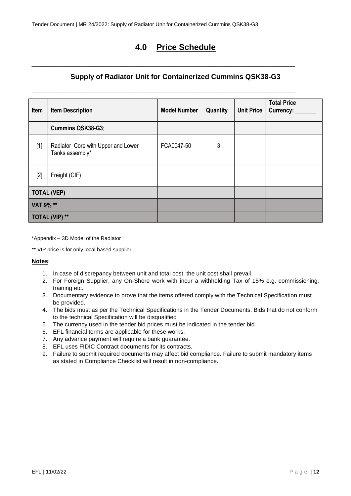## **4.0 Price Schedule**

### **Supply of Radiator Unit for Containerized Cummins QSK38-G3**

<span id="page-11-0"></span>\_\_\_\_\_\_\_\_\_\_\_\_\_\_\_\_\_\_\_\_\_\_\_\_\_\_\_\_\_\_\_\_\_\_\_\_\_\_\_\_\_\_\_\_\_\_\_\_\_\_\_\_\_\_\_\_\_\_\_\_\_\_\_\_\_\_\_\_\_\_\_\_\_

\_\_\_\_\_\_\_\_\_\_\_\_\_\_\_\_\_\_\_\_\_\_\_\_\_\_\_\_\_\_\_\_\_\_\_\_\_\_\_\_\_\_\_\_\_\_\_\_\_\_\_\_\_\_\_\_\_\_\_\_\_\_\_\_\_\_\_\_\_\_\_\_\_

| Item                  | <b>Item Description</b>                               | <b>Model Number</b> | Quantity | <b>Unit Price</b> | <b>Total Price</b><br>Currency: |
|-----------------------|-------------------------------------------------------|---------------------|----------|-------------------|---------------------------------|
|                       | Cummins QSK38-G3;                                     |                     |          |                   |                                 |
| $[1]$                 | Radiator Core with Upper and Lower<br>Tanks assembly* | FCA0047-50          | 3        |                   |                                 |
| $[2]$                 | Freight (CIF)                                         |                     |          |                   |                                 |
| <b>TOTAL (VEP)</b>    |                                                       |                     |          |                   |                                 |
| VAT 9% **             |                                                       |                     |          |                   |                                 |
| <b>TOTAL (VIP) **</b> |                                                       |                     |          |                   |                                 |

\*Appendix – 3D Model of the Radiator

\*\* VIP price is for only local based supplier

#### **Notes**:

- 1. In case of discrepancy between unit and total cost, the unit cost shall prevail.
- 2. For Foreign Supplier, any On-Shore work with incur a withholding Tax of 15% e.g. commissioning, training etc.
- 3. Documentary evidence to prove that the items offered comply with the Technical Specification must be provided.
- 4. The bids must as per the Technical Specifications in the Tender Documents. Bids that do not conform to the technical Specification will be disqualified
- 5. The currency used in the tender bid prices must be indicated in the tender bid
- 6. EFL financial terms are applicable for these works.
- 7. Any advance payment will require a bank guarantee.
- 8. EFL uses FIDIC Contract documents for its contracts.
- 9. Failure to submit required documents may affect bid compliance. Failure to submit mandatory items as stated in Compliance Checklist will result in non-compliance.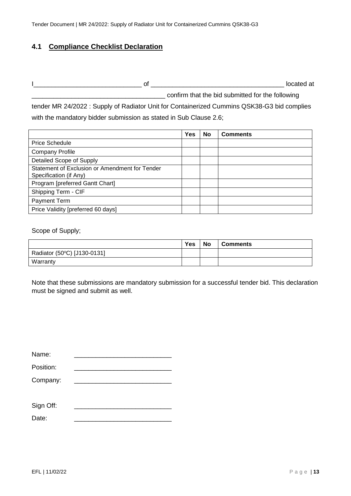#### <span id="page-12-0"></span>**4.1 Compliance Checklist Declaration**

I\_\_\_\_\_\_\_\_\_\_\_\_\_\_\_\_\_\_\_\_\_\_\_\_\_\_\_\_\_\_ of \_\_\_\_\_\_\_\_\_\_\_\_\_\_\_\_\_\_\_\_\_\_\_\_\_\_\_\_\_\_\_\_\_\_\_\_\_ located at

\_\_\_\_\_\_\_\_\_\_\_\_\_\_\_\_\_\_\_\_\_\_\_\_\_\_\_\_\_\_\_\_\_\_\_\_\_ confirm that the bid submitted for the following

tender MR 24/2022 : Supply of Radiator Unit for Containerized Cummins QSK38-G3 bid complies with the mandatory bidder submission as stated in Sub Clause 2.6;

|                                                                          | Yes | No | <b>Comments</b> |
|--------------------------------------------------------------------------|-----|----|-----------------|
| <b>Price Schedule</b>                                                    |     |    |                 |
| <b>Company Profile</b>                                                   |     |    |                 |
| Detailed Scope of Supply                                                 |     |    |                 |
| Statement of Exclusion or Amendment for Tender<br>Specification (if Any) |     |    |                 |
| Program [preferred Gantt Chart]                                          |     |    |                 |
| Shipping Term - CIF                                                      |     |    |                 |
| Payment Term                                                             |     |    |                 |
| Price Validity [preferred 60 days]                                       |     |    |                 |

Scope of Supply;

|                             | Yes | <b>No</b> | <b>Comments</b> |
|-----------------------------|-----|-----------|-----------------|
| Radiator (50°C) [J130-0131] |     |           |                 |
| Warranty                    |     |           |                 |

Note that these submissions are mandatory submission for a successful tender bid. This declaration must be signed and submit as well.

| Name:     |  |
|-----------|--|
| Position: |  |
| Company:  |  |
|           |  |
| Sign Off: |  |
| Date:     |  |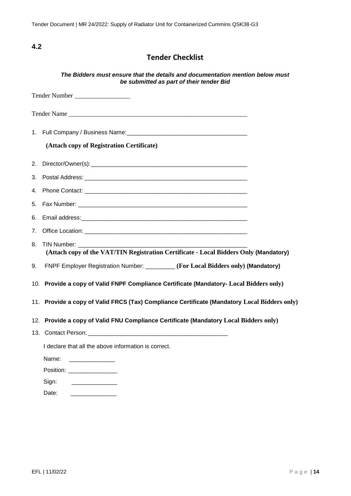## <span id="page-13-0"></span>**4.2**

### **Tender Checklist**

#### *The Bidders must ensure that the details and documentation mention below must be submitted as part of their tender Bid*

|    | Tender Number                                                                                                                  |  |
|----|--------------------------------------------------------------------------------------------------------------------------------|--|
|    | Tender Name                                                                                                                    |  |
|    |                                                                                                                                |  |
|    | (Attach copy of Registration Certificate)                                                                                      |  |
| 2. |                                                                                                                                |  |
| 3. |                                                                                                                                |  |
| 4. |                                                                                                                                |  |
| 5. |                                                                                                                                |  |
| 6. |                                                                                                                                |  |
| 7. |                                                                                                                                |  |
| 8. | TIN Number:<br>(Attach copy of the VAT/TIN Registration Certificate - Local Bidders Only (Mandatory)                           |  |
| 9. | FNPF Employer Registration Number: ________ (For Local Bidders only) (Mandatory)                                               |  |
|    | 10. Provide a copy of Valid FNPF Compliance Certificate (Mandatory- Local Bidders only)                                        |  |
|    | 11. Provide a copy of Valid FRCS (Tax) Compliance Certificate (Mandatory Local Bidders only)                                   |  |
|    | 12. Provide a copy of Valid FNU Compliance Certificate (Mandatory Local Bidders only)                                          |  |
|    |                                                                                                                                |  |
|    | I declare that all the above information is correct.                                                                           |  |
|    | Name:                                                                                                                          |  |
|    | Position: _________________                                                                                                    |  |
|    | Sign:<br><u> Terminal al III-lea de la propincia de la propincia de la propincia de la propincia de la propincia de la pro</u> |  |

Date: \_\_\_\_\_\_\_\_\_\_\_\_\_\_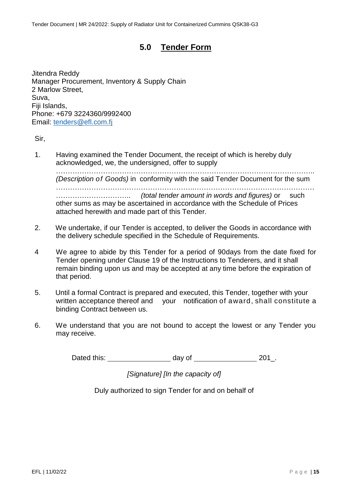## **5.0 Tender Form**

<span id="page-14-0"></span>Jitendra Reddy Manager Procurement, Inventory & Supply Chain 2 Marlow Street, Suva, Fiii Islands. Phone: +679 3224360/9992400 Email: [tenders@efl.com.fj](mailto:tenders@efl.com.fj)

Sir,

1. Having examined the Tender Document, the receipt of which is hereby duly acknowledged, we, the undersigned, offer to supply

……………………………………………………………………………………………….. *(Description of Goods)* in conformity with the said Tender Document for the sum …………………………………………………..……………………………………………

………………………….. *(total tender amount in words and figures)* or such other sums as may be ascertained in accordance with the Schedule of Prices attached herewith and made part of this Tender.

- 2. We undertake, if our Tender is accepted, to deliver the Goods in accordance with the delivery schedule specified in the Schedule of Requirements.
- 4 We agree to abide by this Tender for a period of 90days from the date fixed for Tender opening under Clause 19 of the Instructions to Tenderers, and it shall remain binding upon us and may be accepted at any time before the expiration of that period.
- 5. Until a formal Contract is prepared and executed, this Tender, together with your written acceptance thereof and your notification of award, shall constitute a binding Contract between us.
- 6. We understand that you are not bound to accept the lowest or any Tender you may receive.

Dated this: day of 201.

*[Signature] [In the capacity of]*

Duly authorized to sign Tender for and on behalf of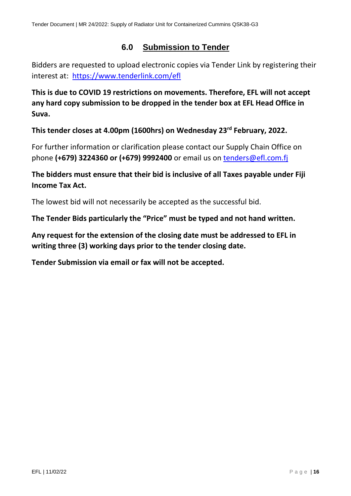## **6.0 Submission to Tender**

<span id="page-15-0"></span>Bidders are requested to upload electronic copies via Tender Link by registering their interest at: <https://www.tenderlink.com/efl>

**This is due to COVID 19 restrictions on movements. Therefore, EFL will not accept any hard copy submission to be dropped in the tender box at EFL Head Office in Suva.**

**This tender closes at 4.00pm (1600hrs) on Wednesday 23rd February, 2022.** 

For further information or clarification please contact our Supply Chain Office on phone **(+679) 3224360 or (+679) 9992400** or email us on [tenders@efl.com.fj](mailto:tenders@efl.com.fj)

## **The bidders must ensure that their bid is inclusive of all Taxes payable under Fiji Income Tax Act.**

The lowest bid will not necessarily be accepted as the successful bid.

**The Tender Bids particularly the "Price" must be typed and not hand written.**

**Any request for the extension of the closing date must be addressed to EFL in writing three (3) working days prior to the tender closing date.**

**Tender Submission via email or fax will not be accepted.**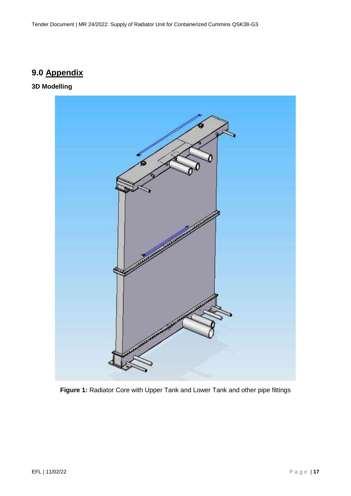## **9.0 Appendix**

**3D Modelling**



**Figure 1:** Radiator Core with Upper Tank and Lower Tank and other pipe fittings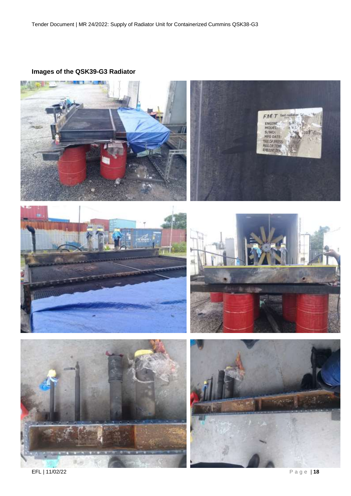**Images of the QSK39-G3 Radiator**